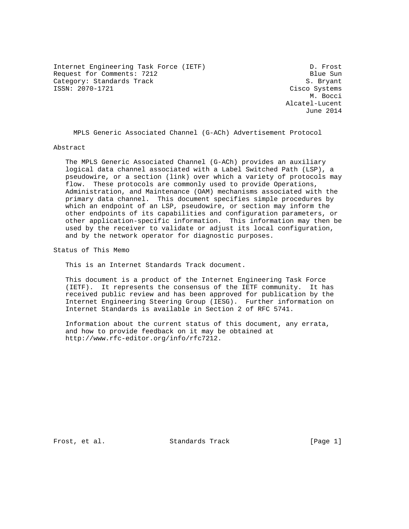Internet Engineering Task Force (IETF) D. Frost Request for Comments: 7212 Blue Sun Category: Standards Track and S. Bryant S. Bryant S. Bryant S. Bryant S. Bryant S. Bryant S. Bryant S. Bryant

Cisco Systems M. Bocci Alcatel-Lucent June 2014

MPLS Generic Associated Channel (G-ACh) Advertisement Protocol

Abstract

 The MPLS Generic Associated Channel (G-ACh) provides an auxiliary logical data channel associated with a Label Switched Path (LSP), a pseudowire, or a section (link) over which a variety of protocols may flow. These protocols are commonly used to provide Operations, Administration, and Maintenance (OAM) mechanisms associated with the primary data channel. This document specifies simple procedures by which an endpoint of an LSP, pseudowire, or section may inform the other endpoints of its capabilities and configuration parameters, or other application-specific information. This information may then be used by the receiver to validate or adjust its local configuration, and by the network operator for diagnostic purposes.

Status of This Memo

This is an Internet Standards Track document.

 This document is a product of the Internet Engineering Task Force (IETF). It represents the consensus of the IETF community. It has received public review and has been approved for publication by the Internet Engineering Steering Group (IESG). Further information on Internet Standards is available in Section 2 of RFC 5741.

 Information about the current status of this document, any errata, and how to provide feedback on it may be obtained at http://www.rfc-editor.org/info/rfc7212.

Frost, et al. Standards Track [Page 1]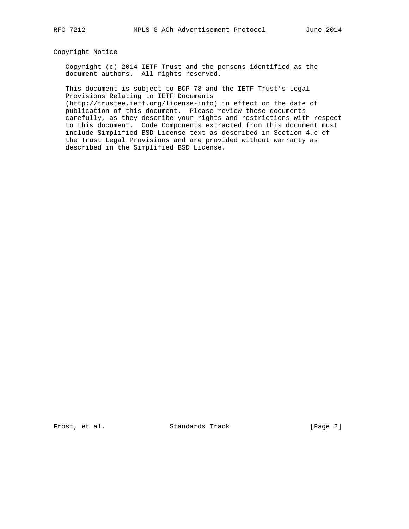# Copyright Notice

 Copyright (c) 2014 IETF Trust and the persons identified as the document authors. All rights reserved.

 This document is subject to BCP 78 and the IETF Trust's Legal Provisions Relating to IETF Documents

 (http://trustee.ietf.org/license-info) in effect on the date of publication of this document. Please review these documents carefully, as they describe your rights and restrictions with respect to this document. Code Components extracted from this document must include Simplified BSD License text as described in Section 4.e of the Trust Legal Provisions and are provided without warranty as described in the Simplified BSD License.

Frost, et al. Standards Track [Page 2]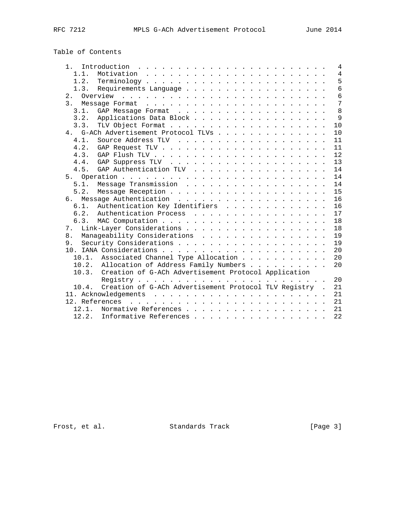# Table of Contents

| 1 <sub>1</sub><br>Introduction $\ldots \ldots \ldots \ldots \ldots \ldots \ldots \ldots$ |  |  | 4              |
|------------------------------------------------------------------------------------------|--|--|----------------|
| 1.1.                                                                                     |  |  | $\overline{4}$ |
| 1.2.                                                                                     |  |  | 5              |
| Requirements Language<br>1.3.                                                            |  |  | 6              |
|                                                                                          |  |  | 6              |
|                                                                                          |  |  | 7              |
| 3.1.                                                                                     |  |  | 8              |
| 3.2.<br>Applications Data Block                                                          |  |  | 9              |
| 3.3.                                                                                     |  |  | 10             |
| 4. G-ACh Advertisement Protocol TLVs                                                     |  |  | 1 <sub>0</sub> |
| 4.1.                                                                                     |  |  | 11             |
| 4.2.                                                                                     |  |  | 11             |
| 4.3.                                                                                     |  |  | 12             |
| 4.4.                                                                                     |  |  | 13             |
| GAP Authentication TLV<br>4.5.                                                           |  |  | 14             |
|                                                                                          |  |  | 14             |
| Message Transmission<br>5.1.                                                             |  |  | 14             |
| 5.2.                                                                                     |  |  | 15             |
|                                                                                          |  |  | 16             |
| Authentication Key Identifiers<br>$6.1$ .                                                |  |  | 16             |
| 6.2.<br>Authentication Process                                                           |  |  | 17             |
| 6.3.                                                                                     |  |  | 18             |
| 7.                                                                                       |  |  | 18             |
| Manageability Considerations<br>8 <sub>1</sub>                                           |  |  | 19             |
| 9.                                                                                       |  |  | 19             |
|                                                                                          |  |  | 20             |
| 10.1. Associated Channel Type Allocation                                                 |  |  | 20             |
| 10.2. Allocation of Address Family Numbers                                               |  |  | 20             |
| Creation of G-ACh Advertisement Protocol Application<br>10.3.                            |  |  |                |
|                                                                                          |  |  | 20             |
|                                                                                          |  |  |                |
| Creation of G-ACh Advertisement Protocol TLV Registry .<br>10.4.                         |  |  | 21             |
|                                                                                          |  |  | 2.1            |
|                                                                                          |  |  | 21             |
| Normative References<br>12.1.                                                            |  |  | 21             |
| 12.2.<br>Informative References                                                          |  |  | 22             |

Frost, et al. Standards Track [Page 3]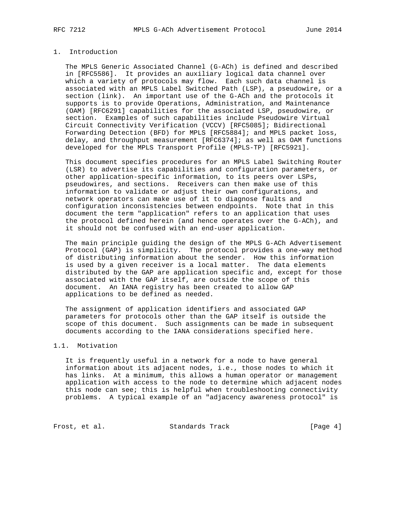# 1. Introduction

 The MPLS Generic Associated Channel (G-ACh) is defined and described in [RFC5586]. It provides an auxiliary logical data channel over which a variety of protocols may flow. Each such data channel is associated with an MPLS Label Switched Path (LSP), a pseudowire, or a section (link). An important use of the G-ACh and the protocols it supports is to provide Operations, Administration, and Maintenance (OAM) [RFC6291] capabilities for the associated LSP, pseudowire, or section. Examples of such capabilities include Pseudowire Virtual Circuit Connectivity Verification (VCCV) [RFC5085]; Bidirectional Forwarding Detection (BFD) for MPLS [RFC5884]; and MPLS packet loss, delay, and throughput measurement [RFC6374]; as well as OAM functions developed for the MPLS Transport Profile (MPLS-TP) [RFC5921].

 This document specifies procedures for an MPLS Label Switching Router (LSR) to advertise its capabilities and configuration parameters, or other application-specific information, to its peers over LSPs, pseudowires, and sections. Receivers can then make use of this information to validate or adjust their own configurations, and network operators can make use of it to diagnose faults and configuration inconsistencies between endpoints. Note that in this document the term "application" refers to an application that uses the protocol defined herein (and hence operates over the G-ACh), and it should not be confused with an end-user application.

 The main principle guiding the design of the MPLS G-ACh Advertisement Protocol (GAP) is simplicity. The protocol provides a one-way method of distributing information about the sender. How this information is used by a given receiver is a local matter. The data elements distributed by the GAP are application specific and, except for those associated with the GAP itself, are outside the scope of this document. An IANA registry has been created to allow GAP applications to be defined as needed.

 The assignment of application identifiers and associated GAP parameters for protocols other than the GAP itself is outside the scope of this document. Such assignments can be made in subsequent documents according to the IANA considerations specified here.

## 1.1. Motivation

 It is frequently useful in a network for a node to have general information about its adjacent nodes, i.e., those nodes to which it has links. At a minimum, this allows a human operator or management application with access to the node to determine which adjacent nodes this node can see; this is helpful when troubleshooting connectivity problems. A typical example of an "adjacency awareness protocol" is

Frost, et al. Standards Track [Page 4]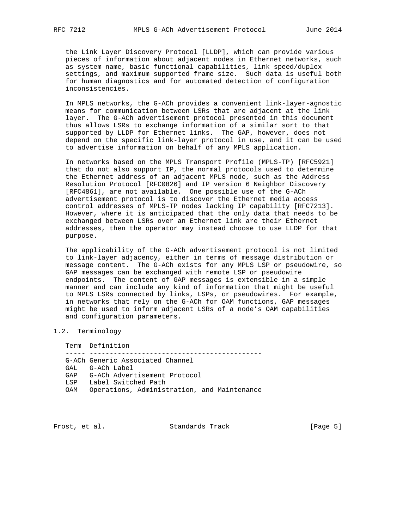the Link Layer Discovery Protocol [LLDP], which can provide various pieces of information about adjacent nodes in Ethernet networks, such as system name, basic functional capabilities, link speed/duplex settings, and maximum supported frame size. Such data is useful both for human diagnostics and for automated detection of configuration inconsistencies.

 In MPLS networks, the G-ACh provides a convenient link-layer-agnostic means for communication between LSRs that are adjacent at the link layer. The G-ACh advertisement protocol presented in this document thus allows LSRs to exchange information of a similar sort to that supported by LLDP for Ethernet links. The GAP, however, does not depend on the specific link-layer protocol in use, and it can be used to advertise information on behalf of any MPLS application.

 In networks based on the MPLS Transport Profile (MPLS-TP) [RFC5921] that do not also support IP, the normal protocols used to determine the Ethernet address of an adjacent MPLS node, such as the Address Resolution Protocol [RFC0826] and IP version 6 Neighbor Discovery [RFC4861], are not available. One possible use of the G-ACh advertisement protocol is to discover the Ethernet media access control addresses of MPLS-TP nodes lacking IP capability [RFC7213]. However, where it is anticipated that the only data that needs to be exchanged between LSRs over an Ethernet link are their Ethernet addresses, then the operator may instead choose to use LLDP for that purpose.

 The applicability of the G-ACh advertisement protocol is not limited to link-layer adjacency, either in terms of message distribution or message content. The G-ACh exists for any MPLS LSP or pseudowire, so GAP messages can be exchanged with remote LSP or pseudowire endpoints. The content of GAP messages is extensible in a simple manner and can include any kind of information that might be useful to MPLS LSRs connected by links, LSPs, or pseudowires. For example, in networks that rely on the G-ACh for OAM functions, GAP messages might be used to inform adjacent LSRs of a node's OAM capabilities and configuration parameters.

## 1.2. Terminology

 Term Definition ----- ------------------------------------------- G-ACh Generic Associated Channel GAL G-ACh Label GAP G-ACh Advertisement Protocol LSP Label Switched Path OAM Operations, Administration, and Maintenance

Frost, et al. Standards Track [Page 5]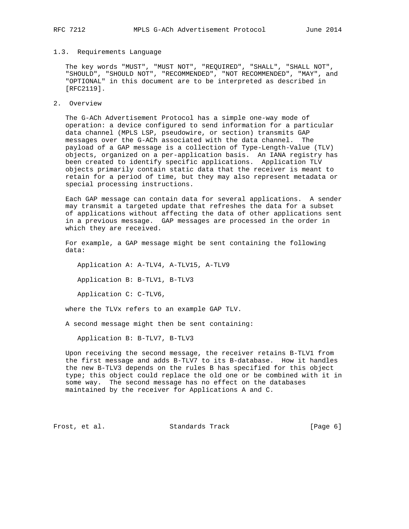## 1.3. Requirements Language

 The key words "MUST", "MUST NOT", "REQUIRED", "SHALL", "SHALL NOT", "SHOULD", "SHOULD NOT", "RECOMMENDED", "NOT RECOMMENDED", "MAY", and "OPTIONAL" in this document are to be interpreted as described in [RFC2119].

2. Overview

 The G-ACh Advertisement Protocol has a simple one-way mode of operation: a device configured to send information for a particular data channel (MPLS LSP, pseudowire, or section) transmits GAP messages over the G-ACh associated with the data channel. The payload of a GAP message is a collection of Type-Length-Value (TLV) objects, organized on a per-application basis. An IANA registry has been created to identify specific applications. Application TLV objects primarily contain static data that the receiver is meant to retain for a period of time, but they may also represent metadata or special processing instructions.

 Each GAP message can contain data for several applications. A sender may transmit a targeted update that refreshes the data for a subset of applications without affecting the data of other applications sent in a previous message. GAP messages are processed in the order in which they are received.

 For example, a GAP message might be sent containing the following data:

Application A: A-TLV4, A-TLV15, A-TLV9

Application B: B-TLV1, B-TLV3

Application C: C-TLV6,

where the TLVx refers to an example GAP TLV.

A second message might then be sent containing:

Application B: B-TLV7, B-TLV3

 Upon receiving the second message, the receiver retains B-TLV1 from the first message and adds B-TLV7 to its B-database. How it handles the new B-TLV3 depends on the rules B has specified for this object type; this object could replace the old one or be combined with it in some way. The second message has no effect on the databases maintained by the receiver for Applications A and C.

Frost, et al. Standards Track [Page 6]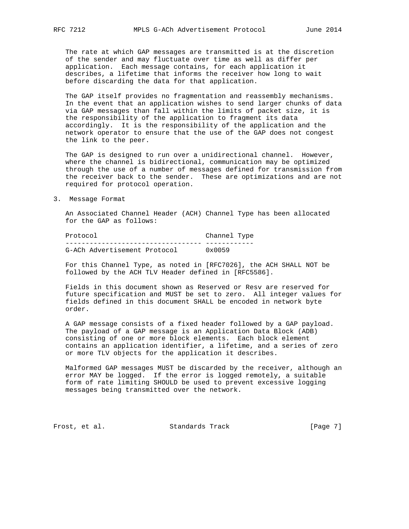describes, a lifetime that informs the receiver how long to wait

 The rate at which GAP messages are transmitted is at the discretion of the sender and may fluctuate over time as well as differ per application. Each message contains, for each application it

before discarding the data for that application.

 The GAP itself provides no fragmentation and reassembly mechanisms. In the event that an application wishes to send larger chunks of data via GAP messages than fall within the limits of packet size, it is the responsibility of the application to fragment its data accordingly. It is the responsibility of the application and the network operator to ensure that the use of the GAP does not congest the link to the peer.

 The GAP is designed to run over a unidirectional channel. However, where the channel is bidirectional, communication may be optimized through the use of a number of messages defined for transmission from the receiver back to the sender. These are optimizations and are not required for protocol operation.

3. Message Format

 An Associated Channel Header (ACH) Channel Type has been allocated for the GAP as follows:

| Protocol                     | Channel Type    |  |
|------------------------------|-----------------|--|
|                              |                 |  |
| G-ACh Advertisement Protocol | $0 \times 0059$ |  |

 For this Channel Type, as noted in [RFC7026], the ACH SHALL NOT be followed by the ACH TLV Header defined in [RFC5586].

 Fields in this document shown as Reserved or Resv are reserved for future specification and MUST be set to zero. All integer values for fields defined in this document SHALL be encoded in network byte order.

 A GAP message consists of a fixed header followed by a GAP payload. The payload of a GAP message is an Application Data Block (ADB) consisting of one or more block elements. Each block element contains an application identifier, a lifetime, and a series of zero or more TLV objects for the application it describes.

 Malformed GAP messages MUST be discarded by the receiver, although an error MAY be logged. If the error is logged remotely, a suitable form of rate limiting SHOULD be used to prevent excessive logging messages being transmitted over the network.

Frost, et al. Standards Track [Page 7]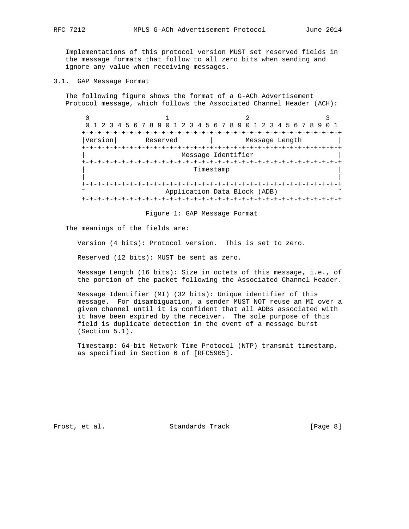Implementations of this protocol version MUST set reserved fields in the message formats that follow to all zero bits when sending and ignore any value when receiving messages.

3.1. GAP Message Format

 The following figure shows the format of a G-ACh Advertisement Protocol message, which follows the Associated Channel Header (ACH):

 $0$  1 2 3 0 1 2 3 4 5 6 7 8 9 0 1 2 3 4 5 6 7 8 9 0 1 2 3 4 5 6 7 8 9 0 1 +-+-+-+-+-+-+-+-+-+-+-+-+-+-+-+-+-+-+-+-+-+-+-+-+-+-+-+-+-+-+-+-+ |Version| Reserved | Message Length +-+-+-+-+-+-+-+-+-+-+-+-+-+-+-+-+-+-+-+-+-+-+-+-+-+-+-+-+-+-+-+-+ Message Identifier +-+-+-+-+-+-+-+-+-+-+-+-+-+-+-+-+-+-+-+-+-+-+-+-+-+-+-+-+-+-+-+-+ Timestamp | | +-+-+-+-+-+-+-+-+-+-+-+-+-+-+-+-+-+-+-+-+-+-+-+-+-+-+-+-+-+-+-+-+ Application Data Block (ADB) +-+-+-+-+-+-+-+-+-+-+-+-+-+-+-+-+-+-+-+-+-+-+-+-+-+-+-+-+-+-+-+-+

Figure 1: GAP Message Format

The meanings of the fields are:

Version (4 bits): Protocol version. This is set to zero.

Reserved (12 bits): MUST be sent as zero.

 Message Length (16 bits): Size in octets of this message, i.e., of the portion of the packet following the Associated Channel Header.

 Message Identifier (MI) (32 bits): Unique identifier of this message. For disambiguation, a sender MUST NOT reuse an MI over a given channel until it is confident that all ADBs associated with it have been expired by the receiver. The sole purpose of this field is duplicate detection in the event of a message burst (Section 5.1).

 Timestamp: 64-bit Network Time Protocol (NTP) transmit timestamp, as specified in Section 6 of [RFC5905].

Frost, et al. Standards Track [Page 8]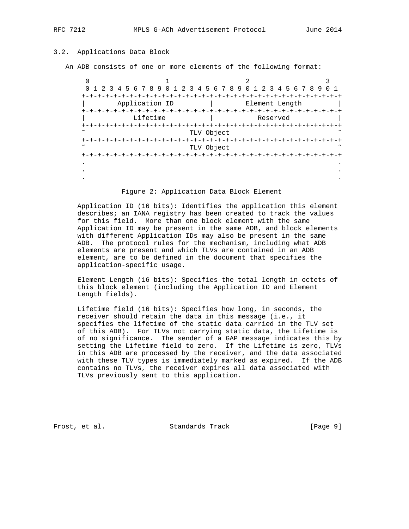# 3.2. Applications Data Block

An ADB consists of one or more elements of the following format:

| 0 1 2 3 4 5 6 7 8 9 0 1 2 3 4 5 6 7 8 9 0 1 2 3 4 5 6 7 8 9 | 0 1                                   |  |
|-------------------------------------------------------------|---------------------------------------|--|
| $+ - + - +$                                                 | -+-+-+-+-+-+-+-+                      |  |
| Application ID                                              | Element Length                        |  |
|                                                             |                                       |  |
| Lifetime                                                    | Reserved                              |  |
| +-+-+-+-+-+-+-+-+-+-+-+-+-                                  |                                       |  |
|                                                             | TLV Object                            |  |
| +-+-+-+-+-+-+-+-+                                           | +-+-+-+-+-+-+-+-+-+-+-+-+-+-+-+-+-+-+ |  |
|                                                             | TLV Object                            |  |
|                                                             |                                       |  |
|                                                             |                                       |  |
|                                                             |                                       |  |
|                                                             |                                       |  |

Figure 2: Application Data Block Element

 Application ID (16 bits): Identifies the application this element describes; an IANA registry has been created to track the values for this field. More than one block element with the same Application ID may be present in the same ADB, and block elements with different Application IDs may also be present in the same ADB. The protocol rules for the mechanism, including what ADB elements are present and which TLVs are contained in an ADB element, are to be defined in the document that specifies the application-specific usage.

 Element Length (16 bits): Specifies the total length in octets of this block element (including the Application ID and Element Length fields).

 Lifetime field (16 bits): Specifies how long, in seconds, the receiver should retain the data in this message (i.e., it specifies the lifetime of the static data carried in the TLV set of this ADB). For TLVs not carrying static data, the Lifetime is of no significance. The sender of a GAP message indicates this by setting the Lifetime field to zero. If the Lifetime is zero, TLVs in this ADB are processed by the receiver, and the data associated with these TLV types is immediately marked as expired. If the ADB contains no TLVs, the receiver expires all data associated with TLVs previously sent to this application.

Frost, et al. Standards Track [Page 9]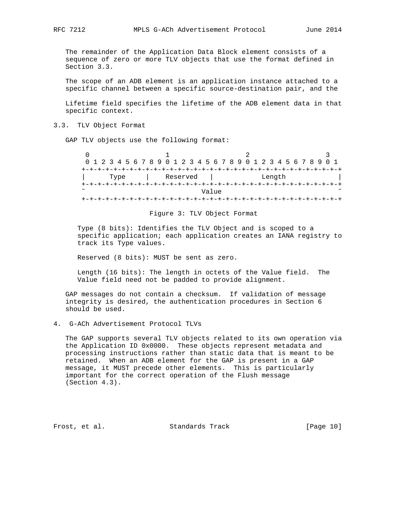The remainder of the Application Data Block element consists of a sequence of zero or more TLV objects that use the format defined in Section 3.3.

 The scope of an ADB element is an application instance attached to a specific channel between a specific source-destination pair, and the

 Lifetime field specifies the lifetime of the ADB element data in that specific context.

3.3. TLV Object Format

GAP TLV objects use the following format:

| 0 1 2 3 4 5 6 7 8 9 0 1 2 3 4 5 6 7 8 9 0 1 2 3 4 5 6 7 8 9 0 1 |  |      |  |  |  |          |  |       |  |  |  |        |  |  |  |  |
|-----------------------------------------------------------------|--|------|--|--|--|----------|--|-------|--|--|--|--------|--|--|--|--|
|                                                                 |  |      |  |  |  |          |  |       |  |  |  |        |  |  |  |  |
|                                                                 |  | Type |  |  |  | Reserved |  |       |  |  |  | Length |  |  |  |  |
|                                                                 |  |      |  |  |  |          |  |       |  |  |  |        |  |  |  |  |
| $\sim$                                                          |  |      |  |  |  |          |  | Value |  |  |  |        |  |  |  |  |
|                                                                 |  |      |  |  |  |          |  |       |  |  |  |        |  |  |  |  |

#### Figure 3: TLV Object Format

 Type (8 bits): Identifies the TLV Object and is scoped to a specific application; each application creates an IANA registry to track its Type values.

Reserved (8 bits): MUST be sent as zero.

 Length (16 bits): The length in octets of the Value field. The Value field need not be padded to provide alignment.

 GAP messages do not contain a checksum. If validation of message integrity is desired, the authentication procedures in Section 6 should be used.

4. G-ACh Advertisement Protocol TLVs

 The GAP supports several TLV objects related to its own operation via the Application ID 0x0000. These objects represent metadata and processing instructions rather than static data that is meant to be retained. When an ADB element for the GAP is present in a GAP message, it MUST precede other elements. This is particularly important for the correct operation of the Flush message (Section 4.3).

Frost, et al. Standards Track [Page 10]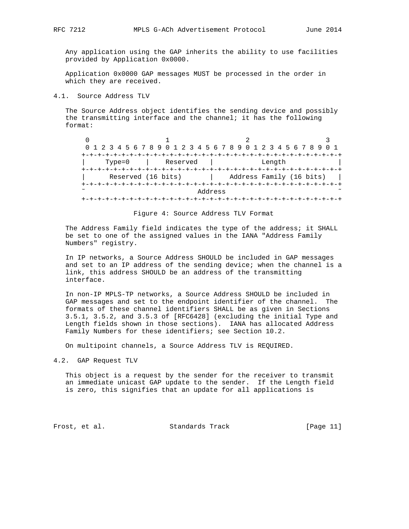Any application using the GAP inherits the ability to use facilities provided by Application 0x0000.

 Application 0x0000 GAP messages MUST be processed in the order in which they are received.

#### 4.1. Source Address TLV

 The Source Address object identifies the sending device and possibly the transmitting interface and the channel; it has the following format:

 $0$  1 2 3 0 1 2 3 4 5 6 7 8 9 0 1 2 3 4 5 6 7 8 9 0 1 2 3 4 5 6 7 8 9 0 1 +-+-+-+-+-+-+-+-+-+-+-+-+-+-+-+-+-+-+-+-+-+-+-+-+-+-+-+-+-+-+-+-+ | Type=0 | Reserved | Length | +-+-+-+-+-+-+-+-+-+-+-+-+-+-+-+-+-+-+-+-+-+-+-+-+-+-+-+-+-+-+-+-+ Reserved (16 bits) | Address Family (16 bits) | +-+-+-+-+-+-+-+-+-+-+-+-+-+-+-+-+-+-+-+-+-+-+-+-+-+-+-+-+-+-+-+-+ Address +-+-+-+-+-+-+-+-+-+-+-+-+-+-+-+-+-+-+-+-+-+-+-+-+-+-+-+-+-+-+-+-+

Figure 4: Source Address TLV Format

 The Address Family field indicates the type of the address; it SHALL be set to one of the assigned values in the IANA "Address Family Numbers" registry.

 In IP networks, a Source Address SHOULD be included in GAP messages and set to an IP address of the sending device; when the channel is a link, this address SHOULD be an address of the transmitting interface.

 In non-IP MPLS-TP networks, a Source Address SHOULD be included in GAP messages and set to the endpoint identifier of the channel. The formats of these channel identifiers SHALL be as given in Sections 3.5.1, 3.5.2, and 3.5.3 of [RFC6428] (excluding the initial Type and Length fields shown in those sections). IANA has allocated Address Family Numbers for these identifiers; see Section 10.2.

On multipoint channels, a Source Address TLV is REQUIRED.

4.2. GAP Request TLV

 This object is a request by the sender for the receiver to transmit an immediate unicast GAP update to the sender. If the Length field is zero, this signifies that an update for all applications is

Frost, et al. Standards Track [Page 11]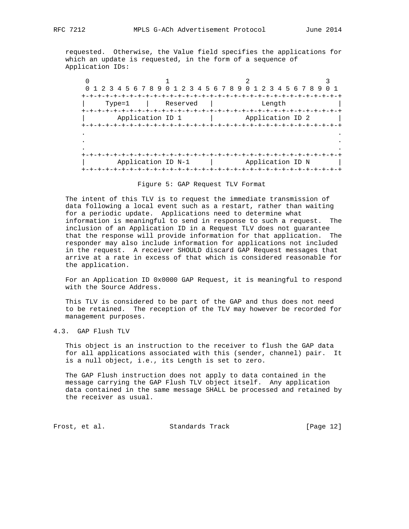requested. Otherwise, the Value field specifies the applications for which an update is requested, in the form of a sequence of Application IDs:

 $0$  1 2 3 0 1 2 3 4 5 6 7 8 9 0 1 2 3 4 5 6 7 8 9 0 1 2 3 4 5 6 7 8 9 0 1 +-+-+-+-+-+-+-+-+-+-+-+-+-+-+-+-+-+-+-+-+-+-+-+-+-+-+-+-+-+-+-+-+ | Type=1 | Reserved | Length | +-+-+-+-+-+-+-+-+-+-+-+-+-+-+-+-+-+-+-+-+-+-+-+-+-+-+-+-+-+-+-+-+ Application ID 1 | Application ID 2 | +-+-+-+-+-+-+-+-+-+-+-+-+-+-+-+-+-+-+-+-+-+-+-+-+-+-+-+-+-+-+-+-+ . . . . . . +-+-+-+-+-+-+-+-+-+-+-+-+-+-+-+-+-+-+-+-+-+-+-+-+-+-+-+-+-+-+-+-+ | Application ID N-1 | Application ID N | +-+-+-+-+-+-+-+-+-+-+-+-+-+-+-+-+-+-+-+-+-+-+-+-+-+-+-+-+-+-+-+-+

#### Figure 5: GAP Request TLV Format

 The intent of this TLV is to request the immediate transmission of data following a local event such as a restart, rather than waiting for a periodic update. Applications need to determine what information is meaningful to send in response to such a request. The inclusion of an Application ID in a Request TLV does not guarantee that the response will provide information for that application. The responder may also include information for applications not included in the request. A receiver SHOULD discard GAP Request messages that arrive at a rate in excess of that which is considered reasonable for the application.

 For an Application ID 0x0000 GAP Request, it is meaningful to respond with the Source Address.

 This TLV is considered to be part of the GAP and thus does not need to be retained. The reception of the TLV may however be recorded for management purposes.

# 4.3. GAP Flush TLV

 This object is an instruction to the receiver to flush the GAP data for all applications associated with this (sender, channel) pair. It is a null object, i.e., its Length is set to zero.

 The GAP Flush instruction does not apply to data contained in the message carrying the GAP Flush TLV object itself. Any application data contained in the same message SHALL be processed and retained by the receiver as usual.

Frost, et al. Standards Track [Page 12]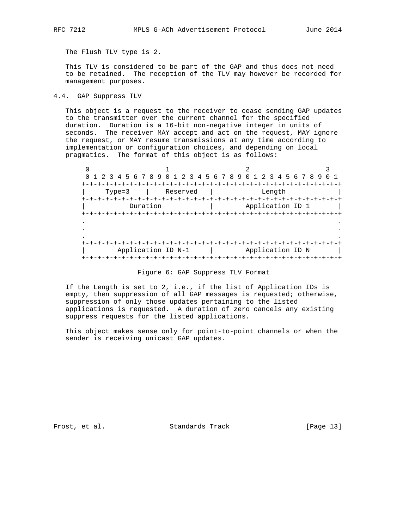The Flush TLV type is 2.

 This TLV is considered to be part of the GAP and thus does not need to be retained. The reception of the TLV may however be recorded for management purposes.

4.4. GAP Suppress TLV

 This object is a request to the receiver to cease sending GAP updates to the transmitter over the current channel for the specified duration. Duration is a 16-bit non-negative integer in units of seconds. The receiver MAY accept and act on the request, MAY ignore the request, or MAY resume transmissions at any time according to implementation or configuration choices, and depending on local pragmatics. The format of this object is as follows:

 $0$  1 2 3 0 1 2 3 4 5 6 7 8 9 0 1 2 3 4 5 6 7 8 9 0 1 2 3 4 5 6 7 8 9 0 1 +-+-+-+-+-+-+-+-+-+-+-+-+-+-+-+-+-+-+-+-+-+-+-+-+-+-+-+-+-+-+-+-+ | Type=3 | Reserved | Length | +-+-+-+-+-+-+-+-+-+-+-+-+-+-+-+-+-+-+-+-+-+-+-+-+-+-+-+-+-+-+-+-+ | Duration | Application ID 1 +-+-+-+-+-+-+-+-+-+-+-+-+-+-+-+-+-+-+-+-+-+-+-+-+-+-+-+-+-+-+-+-+ . . . . . . +-+-+-+-+-+-+-+-+-+-+-+-+-+-+-+-+-+-+-+-+-+-+-+-+-+-+-+-+-+-+-+-+ Application ID N-1 | Application ID N | +-+-+-+-+-+-+-+-+-+-+-+-+-+-+-+-+-+-+-+-+-+-+-+-+-+-+-+-+-+-+-+-+

Figure 6: GAP Suppress TLV Format

 If the Length is set to 2, i.e., if the list of Application IDs is empty, then suppression of all GAP messages is requested; otherwise, suppression of only those updates pertaining to the listed applications is requested. A duration of zero cancels any existing suppress requests for the listed applications.

 This object makes sense only for point-to-point channels or when the sender is receiving unicast GAP updates.

Frost, et al. Standards Track [Page 13]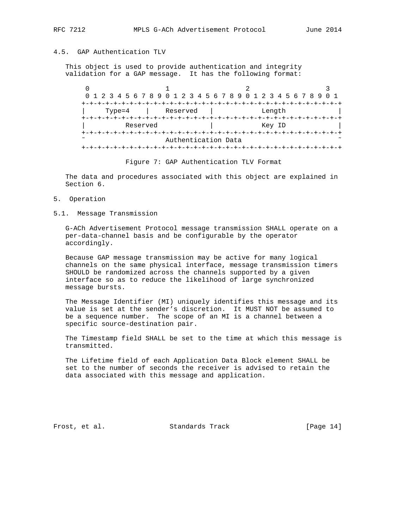# 4.5. GAP Authentication TLV

 This object is used to provide authentication and integrity validation for a GAP message. It has the following format:

 $0$  1 2 3 0 1 2 3 4 5 6 7 8 9 0 1 2 3 4 5 6 7 8 9 0 1 2 3 4 5 6 7 8 9 0 1 +-+-+-+-+-+-+-+-+-+-+-+-+-+-+-+-+-+-+-+-+-+-+-+-+-+-+-+-+-+-+-+-+ | Type=4 | Reserved | Length | +-+-+-+-+-+-+-+-+-+-+-+-+-+-+-+-+-+-+-+-+-+-+-+-+-+-+-+-+-+-+-+-+ | Reserved | Key ID +-+-+-+-+-+-+-+-+-+-+-+-+-+-+-+-+-+-+-+-+-+-+-+-+-+-+-+-+-+-+-+-+ Authentication Data +-+-+-+-+-+-+-+-+-+-+-+-+-+-+-+-+-+-+-+-+-+-+-+-+-+-+-+-+-+-+-+-+

Figure 7: GAP Authentication TLV Format

 The data and procedures associated with this object are explained in Section 6.

- 5. Operation
- 5.1. Message Transmission

 G-ACh Advertisement Protocol message transmission SHALL operate on a per-data-channel basis and be configurable by the operator accordingly.

 Because GAP message transmission may be active for many logical channels on the same physical interface, message transmission timers SHOULD be randomized across the channels supported by a given interface so as to reduce the likelihood of large synchronized message bursts.

 The Message Identifier (MI) uniquely identifies this message and its value is set at the sender's discretion. It MUST NOT be assumed to be a sequence number. The scope of an MI is a channel between a specific source-destination pair.

 The Timestamp field SHALL be set to the time at which this message is transmitted.

 The Lifetime field of each Application Data Block element SHALL be set to the number of seconds the receiver is advised to retain the data associated with this message and application.

Frost, et al. Standards Track [Page 14]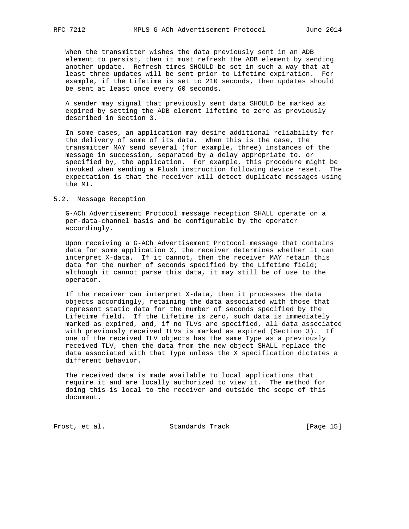When the transmitter wishes the data previously sent in an ADB element to persist, then it must refresh the ADB element by sending another update. Refresh times SHOULD be set in such a way that at least three updates will be sent prior to Lifetime expiration. For example, if the Lifetime is set to 210 seconds, then updates should be sent at least once every 60 seconds.

 A sender may signal that previously sent data SHOULD be marked as expired by setting the ADB element lifetime to zero as previously described in Section 3.

 In some cases, an application may desire additional reliability for the delivery of some of its data. When this is the case, the transmitter MAY send several (for example, three) instances of the message in succession, separated by a delay appropriate to, or specified by, the application. For example, this procedure might be invoked when sending a Flush instruction following device reset. The expectation is that the receiver will detect duplicate messages using the MI.

## 5.2. Message Reception

 G-ACh Advertisement Protocol message reception SHALL operate on a per-data-channel basis and be configurable by the operator accordingly.

 Upon receiving a G-ACh Advertisement Protocol message that contains data for some application X, the receiver determines whether it can interpret X-data. If it cannot, then the receiver MAY retain this data for the number of seconds specified by the Lifetime field; although it cannot parse this data, it may still be of use to the operator.

 If the receiver can interpret X-data, then it processes the data objects accordingly, retaining the data associated with those that represent static data for the number of seconds specified by the Lifetime field. If the Lifetime is zero, such data is immediately marked as expired, and, if no TLVs are specified, all data associated with previously received TLVs is marked as expired (Section 3). If one of the received TLV objects has the same Type as a previously received TLV, then the data from the new object SHALL replace the data associated with that Type unless the X specification dictates a different behavior.

 The received data is made available to local applications that require it and are locally authorized to view it. The method for doing this is local to the receiver and outside the scope of this document.

Frost, et al. Standards Track [Page 15]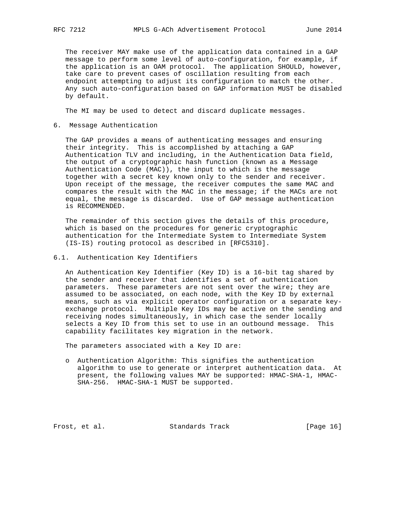The receiver MAY make use of the application data contained in a GAP message to perform some level of auto-configuration, for example, if the application is an OAM protocol. The application SHOULD, however, take care to prevent cases of oscillation resulting from each endpoint attempting to adjust its configuration to match the other. Any such auto-configuration based on GAP information MUST be disabled by default.

The MI may be used to detect and discard duplicate messages.

6. Message Authentication

 The GAP provides a means of authenticating messages and ensuring their integrity. This is accomplished by attaching a GAP Authentication TLV and including, in the Authentication Data field, the output of a cryptographic hash function (known as a Message Authentication Code (MAC)), the input to which is the message together with a secret key known only to the sender and receiver. Upon receipt of the message, the receiver computes the same MAC and compares the result with the MAC in the message; if the MACs are not equal, the message is discarded. Use of GAP message authentication is RECOMMENDED.

 The remainder of this section gives the details of this procedure, which is based on the procedures for generic cryptographic authentication for the Intermediate System to Intermediate System (IS-IS) routing protocol as described in [RFC5310].

6.1. Authentication Key Identifiers

 An Authentication Key Identifier (Key ID) is a 16-bit tag shared by the sender and receiver that identifies a set of authentication parameters. These parameters are not sent over the wire; they are assumed to be associated, on each node, with the Key ID by external means, such as via explicit operator configuration or a separate key exchange protocol. Multiple Key IDs may be active on the sending and receiving nodes simultaneously, in which case the sender locally selects a Key ID from this set to use in an outbound message. This capability facilitates key migration in the network.

The parameters associated with a Key ID are:

 o Authentication Algorithm: This signifies the authentication algorithm to use to generate or interpret authentication data. At present, the following values MAY be supported: HMAC-SHA-1, HMAC- SHA-256. HMAC-SHA-1 MUST be supported.

Frost, et al. Standards Track [Page 16]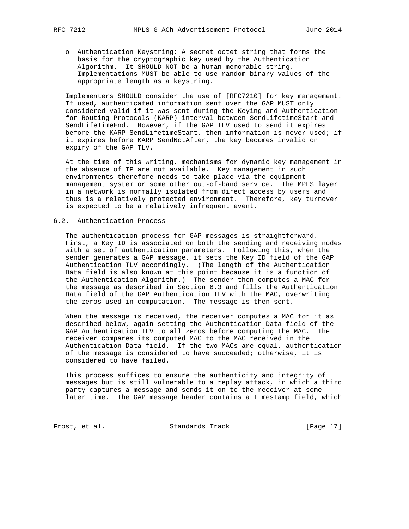- - o Authentication Keystring: A secret octet string that forms the basis for the cryptographic key used by the Authentication Algorithm. It SHOULD NOT be a human-memorable string. Implementations MUST be able to use random binary values of the appropriate length as a keystring.

 Implementers SHOULD consider the use of [RFC7210] for key management. If used, authenticated information sent over the GAP MUST only considered valid if it was sent during the Keying and Authentication for Routing Protocols (KARP) interval between SendLifetimeStart and SendLifeTimeEnd. However, if the GAP TLV used to send it expires before the KARP SendLifetimeStart, then information is never used; if it expires before KARP SendNotAfter, the key becomes invalid on expiry of the GAP TLV.

 At the time of this writing, mechanisms for dynamic key management in the absence of IP are not available. Key management in such environments therefore needs to take place via the equipment management system or some other out-of-band service. The MPLS layer in a network is normally isolated from direct access by users and thus is a relatively protected environment. Therefore, key turnover is expected to be a relatively infrequent event.

# 6.2. Authentication Process

 The authentication process for GAP messages is straightforward. First, a Key ID is associated on both the sending and receiving nodes with a set of authentication parameters. Following this, when the sender generates a GAP message, it sets the Key ID field of the GAP Authentication TLV accordingly. (The length of the Authentication Data field is also known at this point because it is a function of the Authentication Algorithm.) The sender then computes a MAC for the message as described in Section 6.3 and fills the Authentication Data field of the GAP Authentication TLV with the MAC, overwriting the zeros used in computation. The message is then sent.

 When the message is received, the receiver computes a MAC for it as described below, again setting the Authentication Data field of the GAP Authentication TLV to all zeros before computing the MAC. The receiver compares its computed MAC to the MAC received in the Authentication Data field. If the two MACs are equal, authentication of the message is considered to have succeeded; otherwise, it is considered to have failed.

 This process suffices to ensure the authenticity and integrity of messages but is still vulnerable to a replay attack, in which a third party captures a message and sends it on to the receiver at some later time. The GAP message header contains a Timestamp field, which

Frost, et al. Standards Track [Page 17]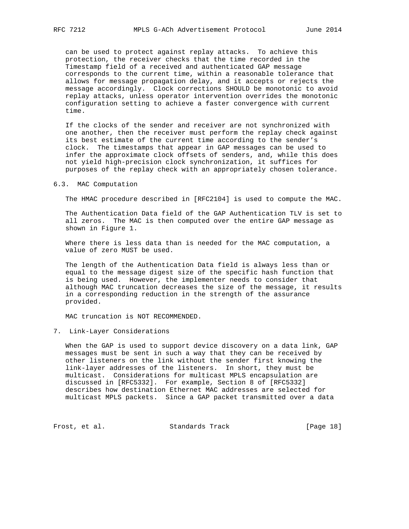can be used to protect against replay attacks. To achieve this protection, the receiver checks that the time recorded in the Timestamp field of a received and authenticated GAP message corresponds to the current time, within a reasonable tolerance that allows for message propagation delay, and it accepts or rejects the message accordingly. Clock corrections SHOULD be monotonic to avoid replay attacks, unless operator intervention overrides the monotonic configuration setting to achieve a faster convergence with current time.

 If the clocks of the sender and receiver are not synchronized with one another, then the receiver must perform the replay check against its best estimate of the current time according to the sender's clock. The timestamps that appear in GAP messages can be used to infer the approximate clock offsets of senders, and, while this does not yield high-precision clock synchronization, it suffices for purposes of the replay check with an appropriately chosen tolerance.

6.3. MAC Computation

The HMAC procedure described in [RFC2104] is used to compute the MAC.

 The Authentication Data field of the GAP Authentication TLV is set to all zeros. The MAC is then computed over the entire GAP message as shown in Figure 1.

 Where there is less data than is needed for the MAC computation, a value of zero MUST be used.

 The length of the Authentication Data field is always less than or equal to the message digest size of the specific hash function that is being used. However, the implementer needs to consider that although MAC truncation decreases the size of the message, it results in a corresponding reduction in the strength of the assurance provided.

MAC truncation is NOT RECOMMENDED.

7. Link-Layer Considerations

 When the GAP is used to support device discovery on a data link, GAP messages must be sent in such a way that they can be received by other listeners on the link without the sender first knowing the link-layer addresses of the listeners. In short, they must be multicast. Considerations for multicast MPLS encapsulation are discussed in [RFC5332]. For example, Section 8 of [RFC5332] describes how destination Ethernet MAC addresses are selected for multicast MPLS packets. Since a GAP packet transmitted over a data

Frost, et al. Standards Track [Page 18]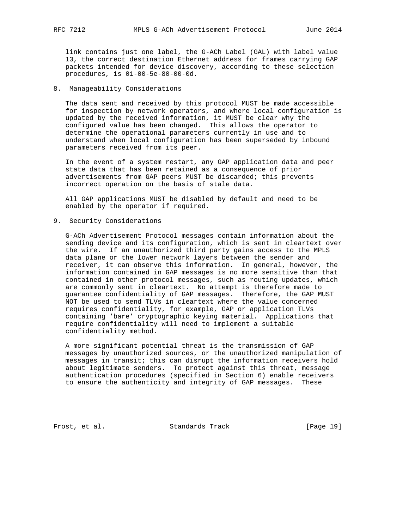link contains just one label, the G-ACh Label (GAL) with label value 13, the correct destination Ethernet address for frames carrying GAP packets intended for device discovery, according to these selection procedures, is 01-00-5e-80-00-0d.

## 8. Manageability Considerations

 The data sent and received by this protocol MUST be made accessible for inspection by network operators, and where local configuration is updated by the received information, it MUST be clear why the configured value has been changed. This allows the operator to determine the operational parameters currently in use and to understand when local configuration has been superseded by inbound parameters received from its peer.

 In the event of a system restart, any GAP application data and peer state data that has been retained as a consequence of prior advertisements from GAP peers MUST be discarded; this prevents incorrect operation on the basis of stale data.

 All GAP applications MUST be disabled by default and need to be enabled by the operator if required.

9. Security Considerations

 G-ACh Advertisement Protocol messages contain information about the sending device and its configuration, which is sent in cleartext over the wire. If an unauthorized third party gains access to the MPLS data plane or the lower network layers between the sender and receiver, it can observe this information. In general, however, the information contained in GAP messages is no more sensitive than that contained in other protocol messages, such as routing updates, which are commonly sent in cleartext. No attempt is therefore made to guarantee confidentiality of GAP messages. Therefore, the GAP MUST NOT be used to send TLVs in cleartext where the value concerned requires confidentiality, for example, GAP or application TLVs containing 'bare' cryptographic keying material. Applications that require confidentiality will need to implement a suitable confidentiality method.

 A more significant potential threat is the transmission of GAP messages by unauthorized sources, or the unauthorized manipulation of messages in transit; this can disrupt the information receivers hold about legitimate senders. To protect against this threat, message authentication procedures (specified in Section 6) enable receivers to ensure the authenticity and integrity of GAP messages. These

Frost, et al. Standards Track [Page 19]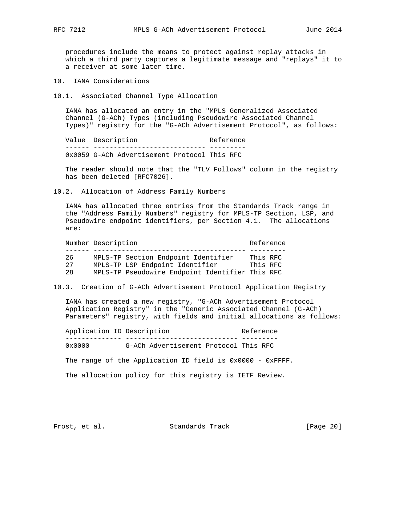procedures include the means to protect against replay attacks in which a third party captures a legitimate message and "replays" it to a receiver at some later time.

10. IANA Considerations

10.1. Associated Channel Type Allocation

 IANA has allocated an entry in the "MPLS Generalized Associated Channel (G-ACh) Types (including Pseudowire Associated Channel Types)" registry for the "G-ACh Advertisement Protocol", as follows:

Value Description **Reference**  ------ ---------------------------- --------- 0x0059 G-ACh Advertisement Protocol This RFC

 The reader should note that the "TLV Follows" column in the registry has been deleted [RFC7026].

10.2. Allocation of Address Family Numbers

 IANA has allocated three entries from the Standards Track range in the "Address Family Numbers" registry for MPLS-TP Section, LSP, and Pseudowire endpoint identifiers, per Section 4.1. The allocations are:

|     | Number Description                              | Reference |  |  |  |  |  |
|-----|-------------------------------------------------|-----------|--|--|--|--|--|
|     |                                                 |           |  |  |  |  |  |
| 26  | MPLS-TP Section Endpoint Identifier             | This RFC  |  |  |  |  |  |
| 27  | MPLS-TP LSP Endpoint Identifier                 | This RFC  |  |  |  |  |  |
| 2.8 | MPLS-TP Pseudowire Endpoint Identifier This RFC |           |  |  |  |  |  |

10.3. Creation of G-ACh Advertisement Protocol Application Registry

 IANA has created a new registry, "G-ACh Advertisement Protocol Application Registry" in the "Generic Associated Channel (G-ACh) Parameters" registry, with fields and initial allocations as follows:

Application ID Description and Reference -------------- ---------------------------- --------- 0x0000 G-ACh Advertisement Protocol This RFC

The range of the Application ID field is 0x0000 - 0xFFFF.

The allocation policy for this registry is IETF Review.

Frost, et al. Standards Track [Page 20]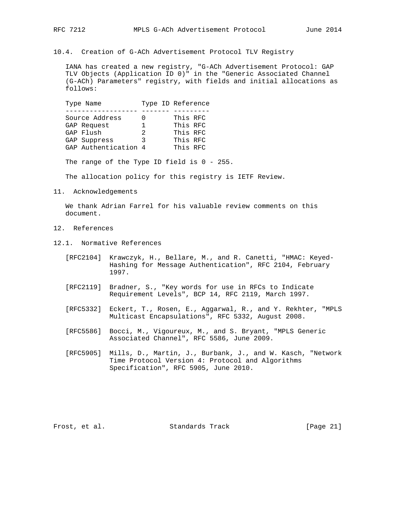10.4. Creation of G-ACh Advertisement Protocol TLV Registry

 IANA has created a new registry, "G-ACh Advertisement Protocol: GAP TLV Objects (Application ID 0)" in the "Generic Associated Channel (G-ACh) Parameters" registry, with fields and initial allocations as follows:

Type Name Type ID Reference ------------------ ------- --------- Source Address 0 This RFC GAP Request 1 This RFC GAP Flush 2 2 This RFC GAP Suppress 3 This RFC Source Audiess<br>
GAP Request<br>
GAP Flush<br>
2 This RFC<br>
GAP Suppress<br>
3 This RFC<br>
GAP Authentication 4 This RFC

The range of the Type ID field is 0 - 255.

The allocation policy for this registry is IETF Review.

11. Acknowledgements

 We thank Adrian Farrel for his valuable review comments on this document.

- 12. References
- 12.1. Normative References
	- [RFC2104] Krawczyk, H., Bellare, M., and R. Canetti, "HMAC: Keyed- Hashing for Message Authentication", RFC 2104, February 1997.
	- [RFC2119] Bradner, S., "Key words for use in RFCs to Indicate Requirement Levels", BCP 14, RFC 2119, March 1997.
	- [RFC5332] Eckert, T., Rosen, E., Aggarwal, R., and Y. Rekhter, "MPLS Multicast Encapsulations", RFC 5332, August 2008.
	- [RFC5586] Bocci, M., Vigoureux, M., and S. Bryant, "MPLS Generic Associated Channel", RFC 5586, June 2009.
	- [RFC5905] Mills, D., Martin, J., Burbank, J., and W. Kasch, "Network Time Protocol Version 4: Protocol and Algorithms Specification", RFC 5905, June 2010.

Frost, et al. Standards Track [Page 21]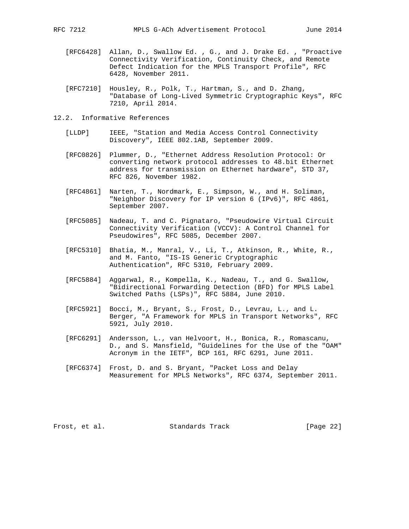- [RFC6428] Allan, D., Swallow Ed. , G., and J. Drake Ed. , "Proactive Connectivity Verification, Continuity Check, and Remote Defect Indication for the MPLS Transport Profile", RFC 6428, November 2011.
- [RFC7210] Housley, R., Polk, T., Hartman, S., and D. Zhang, "Database of Long-Lived Symmetric Cryptographic Keys", RFC 7210, April 2014.
- 12.2. Informative References
	- [LLDP] IEEE, "Station and Media Access Control Connectivity Discovery", IEEE 802.1AB, September 2009.
	- [RFC0826] Plummer, D., "Ethernet Address Resolution Protocol: Or converting network protocol addresses to 48.bit Ethernet address for transmission on Ethernet hardware", STD 37, RFC 826, November 1982.
	- [RFC4861] Narten, T., Nordmark, E., Simpson, W., and H. Soliman, "Neighbor Discovery for IP version 6 (IPv6)", RFC 4861, September 2007.
	- [RFC5085] Nadeau, T. and C. Pignataro, "Pseudowire Virtual Circuit Connectivity Verification (VCCV): A Control Channel for Pseudowires", RFC 5085, December 2007.
	- [RFC5310] Bhatia, M., Manral, V., Li, T., Atkinson, R., White, R., and M. Fanto, "IS-IS Generic Cryptographic Authentication", RFC 5310, February 2009.
	- [RFC5884] Aggarwal, R., Kompella, K., Nadeau, T., and G. Swallow, "Bidirectional Forwarding Detection (BFD) for MPLS Label Switched Paths (LSPs)", RFC 5884, June 2010.
	- [RFC5921] Bocci, M., Bryant, S., Frost, D., Levrau, L., and L. Berger, "A Framework for MPLS in Transport Networks", RFC 5921, July 2010.
	- [RFC6291] Andersson, L., van Helvoort, H., Bonica, R., Romascanu, D., and S. Mansfield, "Guidelines for the Use of the "OAM" Acronym in the IETF", BCP 161, RFC 6291, June 2011.
	- [RFC6374] Frost, D. and S. Bryant, "Packet Loss and Delay Measurement for MPLS Networks", RFC 6374, September 2011.

Frost, et al. Standards Track [Page 22]